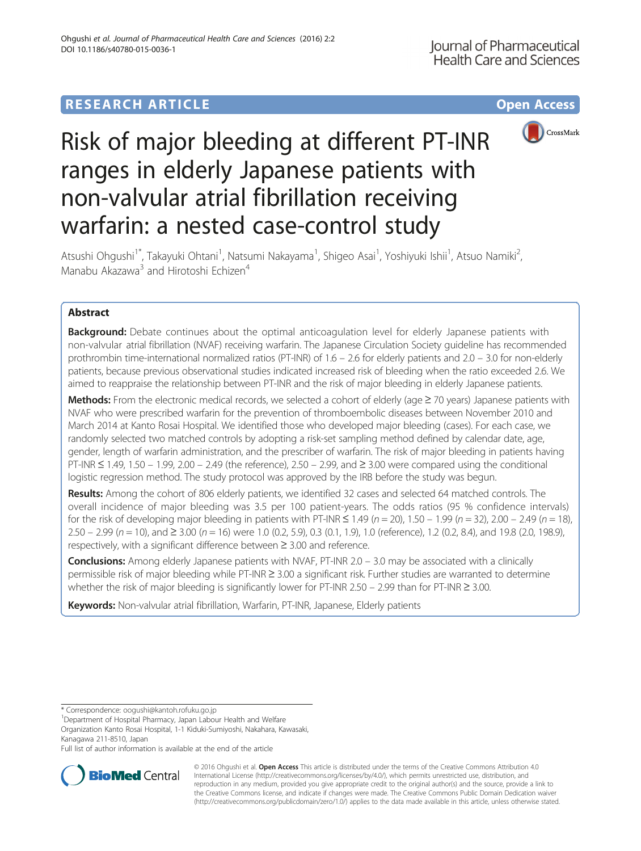## **RESEARCH ARTICLE Example 2014 12:30 The Contract of Contract ACCESS**



# Risk of major bleeding at different PT-INR ranges in elderly Japanese patients with non-valvular atrial fibrillation receiving warfarin: a nested case-control study

Atsushi Ohgushi<sup>1\*</sup>, Takayuki Ohtani<sup>1</sup>, Natsumi Nakayama<sup>1</sup>, Shigeo Asai<sup>1</sup>, Yoshiyuki Ishii<sup>1</sup>, Atsuo Namiki<sup>2</sup> .<br>, Manabu Akazawa<sup>3</sup> and Hirotoshi Echizen<sup>4</sup>

## Abstract

**Background:** Debate continues about the optimal anticoagulation level for elderly Japanese patients with non-valvular atrial fibrillation (NVAF) receiving warfarin. The Japanese Circulation Society guideline has recommended prothrombin time-international normalized ratios (PT-INR) of 1.6 – 2.6 for elderly patients and 2.0 – 3.0 for non-elderly patients, because previous observational studies indicated increased risk of bleeding when the ratio exceeded 2.6. We aimed to reappraise the relationship between PT-INR and the risk of major bleeding in elderly Japanese patients.

Methods: From the electronic medical records, we selected a cohort of elderly (age  $\geq$  70 years) Japanese patients with NVAF who were prescribed warfarin for the prevention of thromboembolic diseases between November 2010 and March 2014 at Kanto Rosai Hospital. We identified those who developed major bleeding (cases). For each case, we randomly selected two matched controls by adopting a risk-set sampling method defined by calendar date, age, gender, length of warfarin administration, and the prescriber of warfarin. The risk of major bleeding in patients having PT-INR ≤ 1.49, 1.50 – 1.99, 2.00 – 2.49 (the reference), 2.50 – 2.99, and ≥ 3.00 were compared using the conditional logistic regression method. The study protocol was approved by the IRB before the study was begun.

Results: Among the cohort of 806 elderly patients, we identified 32 cases and selected 64 matched controls. The overall incidence of major bleeding was 3.5 per 100 patient-years. The odds ratios (95 % confidence intervals) for the risk of developing major bleeding in patients with PT-INR  $\leq 1.49$  (n = 20), 1.50 – 1.99 (n = 32), 2.00 – 2.49 (n = 18), 2.50 – 2.99 (n = 10), and ≥ 3.00 (n = 16) were 1.0 (0.2, 5.9), 0.3 (0.1, 1.9), 1.0 (reference), 1.2 (0.2, 8.4), and 19.8 (2.0, 198.9), respectively, with a significant difference between ≥ 3.00 and reference.

**Conclusions:** Among elderly Japanese patients with NVAF, PT-INR 2.0 – 3.0 may be associated with a clinically permissible risk of major bleeding while PT-INR ≥ 3.00 a significant risk. Further studies are warranted to determine whether the risk of major bleeding is significantly lower for PT-INR 2.50 – 2.99 than for PT-INR ≥ 3.00.

Keywords: Non-valvular atrial fibrillation, Warfarin, PT-INR, Japanese, Elderly patients

<sup>1</sup>Department of Hospital Pharmacy, Japan Labour Health and Welfare

Organization Kanto Rosai Hospital, 1-1 Kiduki-Sumiyoshi, Nakahara, Kawasaki, Kanagawa 211-8510, Japan

Full list of author information is available at the end of the article



© 2016 Ohgushi et al. Open Access This article is distributed under the terms of the Creative Commons Attribution 4.0 International License [\(http://creativecommons.org/licenses/by/4.0/](http://creativecommons.org/licenses/by/4.0/)), which permits unrestricted use, distribution, and reproduction in any medium, provided you give appropriate credit to the original author(s) and the source, provide a link to the Creative Commons license, and indicate if changes were made. The Creative Commons Public Domain Dedication waiver [\(http://creativecommons.org/publicdomain/zero/1.0/](http://creativecommons.org/publicdomain/zero/1.0/)) applies to the data made available in this article, unless otherwise stated.

<sup>\*</sup> Correspondence: [oogushi@kantoh.rofuku.go.jp](mailto:oogushi@kantoh.rofuku.go.jp) <sup>1</sup>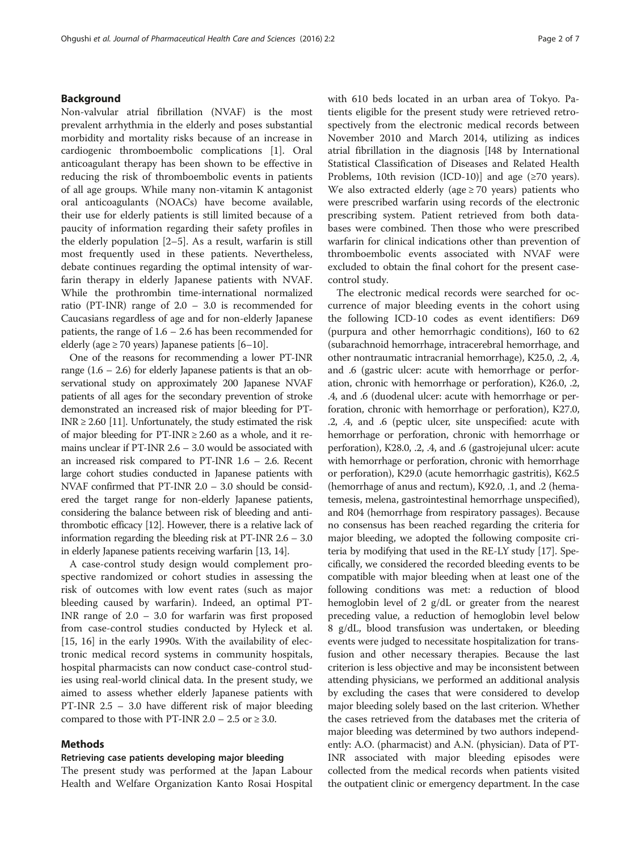#### Background

Non-valvular atrial fibrillation (NVAF) is the most prevalent arrhythmia in the elderly and poses substantial morbidity and mortality risks because of an increase in cardiogenic thromboembolic complications [\[1](#page-5-0)]. Oral anticoagulant therapy has been shown to be effective in reducing the risk of thromboembolic events in patients of all age groups. While many non-vitamin K antagonist oral anticoagulants (NOACs) have become available, their use for elderly patients is still limited because of a paucity of information regarding their safety profiles in the elderly population [\[2](#page-5-0)–[5\]](#page-5-0). As a result, warfarin is still most frequently used in these patients. Nevertheless, debate continues regarding the optimal intensity of warfarin therapy in elderly Japanese patients with NVAF. While the prothrombin time-international normalized ratio (PT-INR) range of 2.0 – 3.0 is recommended for Caucasians regardless of age and for non-elderly Japanese patients, the range of 1.6 – 2.6 has been recommended for elderly (age  $\geq$  70 years) Japanese patients [[6](#page-5-0)–[10](#page-5-0)].

One of the reasons for recommending a lower PT-INR range  $(1.6 - 2.6)$  for elderly Japanese patients is that an observational study on approximately 200 Japanese NVAF patients of all ages for the secondary prevention of stroke demonstrated an increased risk of major bleeding for PT-INR  $\geq$  2.60 [\[11\]](#page-5-0). Unfortunately, the study estimated the risk of major bleeding for  $PT-INR \geq 2.60$  as a whole, and it remains unclear if PT-INR 2.6 – 3.0 would be associated with an increased risk compared to PT-INR 1.6 – 2.6. Recent large cohort studies conducted in Japanese patients with NVAF confirmed that PT-INR 2.0 – 3.0 should be considered the target range for non-elderly Japanese patients, considering the balance between risk of bleeding and antithrombotic efficacy [\[12\]](#page-5-0). However, there is a relative lack of information regarding the bleeding risk at PT-INR 2.6 – 3.0 in elderly Japanese patients receiving warfarin [\[13,](#page-5-0) [14\]](#page-6-0).

A case-control study design would complement prospective randomized or cohort studies in assessing the risk of outcomes with low event rates (such as major bleeding caused by warfarin). Indeed, an optimal PT-INR range of 2.0 – 3.0 for warfarin was first proposed from case-control studies conducted by Hyleck et al. [[15, 16](#page-6-0)] in the early 1990s. With the availability of electronic medical record systems in community hospitals, hospital pharmacists can now conduct case-control studies using real-world clinical data. In the present study, we aimed to assess whether elderly Japanese patients with PT-INR 2.5 – 3.0 have different risk of major bleeding compared to those with PT-INR 2.0 – 2.5 or  $\geq$  3.0.

#### Methods

#### Retrieving case patients developing major bleeding

The present study was performed at the Japan Labour Health and Welfare Organization Kanto Rosai Hospital with 610 beds located in an urban area of Tokyo. Patients eligible for the present study were retrieved retrospectively from the electronic medical records between November 2010 and March 2014, utilizing as indices atrial fibrillation in the diagnosis [I48 by International Statistical Classification of Diseases and Related Health Problems, 10th revision (ICD-10)] and age  $(\geq 70 \text{ years})$ . We also extracted elderly (age  $\geq$  70 years) patients who were prescribed warfarin using records of the electronic prescribing system. Patient retrieved from both databases were combined. Then those who were prescribed warfarin for clinical indications other than prevention of thromboembolic events associated with NVAF were excluded to obtain the final cohort for the present casecontrol study.

The electronic medical records were searched for occurrence of major bleeding events in the cohort using the following ICD-10 codes as event identifiers: D69 (purpura and other hemorrhagic conditions), I60 to 62 (subarachnoid hemorrhage, intracerebral hemorrhage, and other nontraumatic intracranial hemorrhage), K25.0, .2, .4, and .6 (gastric ulcer: acute with hemorrhage or perforation, chronic with hemorrhage or perforation), K26.0, .2, .4, and .6 (duodenal ulcer: acute with hemorrhage or perforation, chronic with hemorrhage or perforation), K27.0, .2, .4, and .6 (peptic ulcer, site unspecified: acute with hemorrhage or perforation, chronic with hemorrhage or perforation), K28.0, .2, .4, and .6 (gastrojejunal ulcer: acute with hemorrhage or perforation, chronic with hemorrhage or perforation), K29.0 (acute hemorrhagic gastritis), K62.5 (hemorrhage of anus and rectum), K92.0, .1, and .2 (hematemesis, melena, gastrointestinal hemorrhage unspecified), and R04 (hemorrhage from respiratory passages). Because no consensus has been reached regarding the criteria for major bleeding, we adopted the following composite criteria by modifying that used in the RE-LY study [[17\]](#page-6-0). Specifically, we considered the recorded bleeding events to be compatible with major bleeding when at least one of the following conditions was met: a reduction of blood hemoglobin level of 2 g/dL or greater from the nearest preceding value, a reduction of hemoglobin level below 8 g/dL, blood transfusion was undertaken, or bleeding events were judged to necessitate hospitalization for transfusion and other necessary therapies. Because the last criterion is less objective and may be inconsistent between attending physicians, we performed an additional analysis by excluding the cases that were considered to develop major bleeding solely based on the last criterion. Whether the cases retrieved from the databases met the criteria of major bleeding was determined by two authors independently: A.O. (pharmacist) and A.N. (physician). Data of PT-INR associated with major bleeding episodes were collected from the medical records when patients visited the outpatient clinic or emergency department. In the case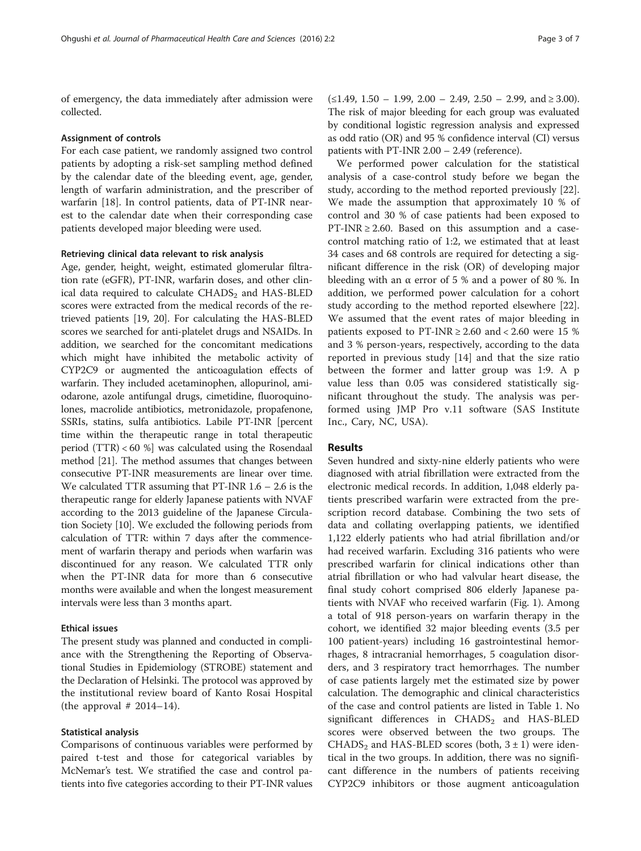of emergency, the data immediately after admission were collected.

#### Assignment of controls

For each case patient, we randomly assigned two control patients by adopting a risk-set sampling method defined by the calendar date of the bleeding event, age, gender, length of warfarin administration, and the prescriber of warfarin [[18](#page-6-0)]. In control patients, data of PT-INR nearest to the calendar date when their corresponding case patients developed major bleeding were used.

#### Retrieving clinical data relevant to risk analysis

Age, gender, height, weight, estimated glomerular filtration rate (eGFR), PT-INR, warfarin doses, and other clinical data required to calculate  $CHADS<sub>2</sub>$  and  $HAS-BLED$ scores were extracted from the medical records of the retrieved patients [\[19, 20\]](#page-6-0). For calculating the HAS-BLED scores we searched for anti-platelet drugs and NSAIDs. In addition, we searched for the concomitant medications which might have inhibited the metabolic activity of CYP2C9 or augmented the anticoagulation effects of warfarin. They included acetaminophen, allopurinol, amiodarone, azole antifungal drugs, cimetidine, fluoroquinolones, macrolide antibiotics, metronidazole, propafenone, SSRIs, statins, sulfa antibiotics. Labile PT-INR [percent time within the therapeutic range in total therapeutic period (TTR) < 60 %] was calculated using the Rosendaal method [\[21\]](#page-6-0). The method assumes that changes between consecutive PT-INR measurements are linear over time. We calculated TTR assuming that PT-INR 1.6 – 2.6 is the therapeutic range for elderly Japanese patients with NVAF according to the 2013 guideline of the Japanese Circulation Society [\[10\]](#page-5-0). We excluded the following periods from calculation of TTR: within 7 days after the commencement of warfarin therapy and periods when warfarin was discontinued for any reason. We calculated TTR only when the PT-INR data for more than 6 consecutive months were available and when the longest measurement intervals were less than 3 months apart.

#### Ethical issues

The present study was planned and conducted in compliance with the Strengthening the Reporting of Observational Studies in Epidemiology (STROBE) statement and the Declaration of Helsinki. The protocol was approved by the institutional review board of Kanto Rosai Hospital (the approval  $# 2014-14$ ).

#### Statistical analysis

Comparisons of continuous variables were performed by paired t-test and those for categorical variables by McNemar's test. We stratified the case and control patients into five categories according to their PT-INR values

 $(\leq 1.49, 1.50 - 1.99, 2.00 - 2.49, 2.50 - 2.99, \text{ and } \geq 3.00).$ The risk of major bleeding for each group was evaluated by conditional logistic regression analysis and expressed as odd ratio (OR) and 95 % confidence interval (CI) versus patients with PT-INR 2.00 – 2.49 (reference).

We performed power calculation for the statistical analysis of a case-control study before we began the study, according to the method reported previously [\[22](#page-6-0)]. We made the assumption that approximately 10 % of control and 30 % of case patients had been exposed to PT-INR  $\geq$  2.60. Based on this assumption and a casecontrol matching ratio of 1:2, we estimated that at least 34 cases and 68 controls are required for detecting a significant difference in the risk (OR) of developing major bleeding with an  $\alpha$  error of 5 % and a power of 80 %. In addition, we performed power calculation for a cohort study according to the method reported elsewhere [\[22](#page-6-0)]. We assumed that the event rates of major bleeding in patients exposed to PT-INR  $\geq 2.60$  and  $\lt 2.60$  were 15 % and 3 % person-years, respectively, according to the data reported in previous study [[14\]](#page-6-0) and that the size ratio between the former and latter group was 1:9. A p value less than 0.05 was considered statistically significant throughout the study. The analysis was performed using JMP Pro v.11 software (SAS Institute Inc., Cary, NC, USA).

#### Results

Seven hundred and sixty-nine elderly patients who were diagnosed with atrial fibrillation were extracted from the electronic medical records. In addition, 1,048 elderly patients prescribed warfarin were extracted from the prescription record database. Combining the two sets of data and collating overlapping patients, we identified 1,122 elderly patients who had atrial fibrillation and/or had received warfarin. Excluding 316 patients who were prescribed warfarin for clinical indications other than atrial fibrillation or who had valvular heart disease, the final study cohort comprised 806 elderly Japanese patients with NVAF who received warfarin (Fig. [1\)](#page-3-0). Among a total of 918 person-years on warfarin therapy in the cohort, we identified 32 major bleeding events (3.5 per 100 patient-years) including 16 gastrointestinal hemorrhages, 8 intracranial hemorrhages, 5 coagulation disorders, and 3 respiratory tract hemorrhages. The number of case patients largely met the estimated size by power calculation. The demographic and clinical characteristics of the case and control patients are listed in Table [1.](#page-4-0) No significant differences in  $CHADS<sub>2</sub>$  and  $HAS-BLED$ scores were observed between the two groups. The CHADS<sub>2</sub> and HAS-BLED scores (both,  $3 \pm 1$ ) were identical in the two groups. In addition, there was no significant difference in the numbers of patients receiving CYP2C9 inhibitors or those augment anticoagulation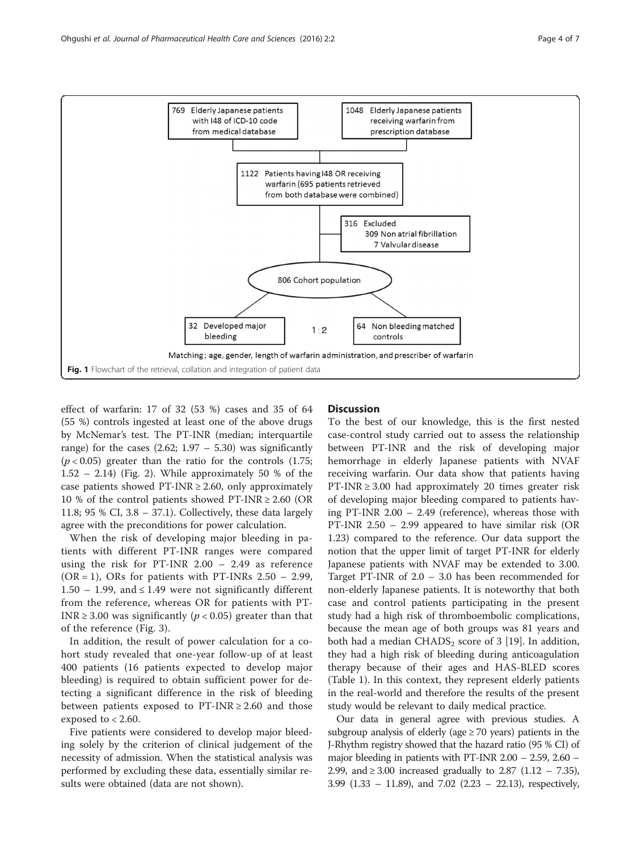<span id="page-3-0"></span>

effect of warfarin: 17 of 32 (53 %) cases and 35 of 64 (55 %) controls ingested at least one of the above drugs by McNemar's test. The PT-INR (median; interquartile range) for the cases  $(2.62; 1.97 - 5.30)$  was significantly  $(p < 0.05)$  greater than the ratio for the controls  $(1.75;$  $1.52 - 2.14$  $1.52 - 2.14$  $1.52 - 2.14$ ) (Fig. 2). While approximately 50 % of the case patients showed PT-INR  $\geq$  2.60, only approximately 10 % of the control patients showed PT-INR  $\geq 2.60$  (OR 11.8; 95 % CI, 3.8 – 37.1). Collectively, these data largely agree with the preconditions for power calculation.

When the risk of developing major bleeding in patients with different PT-INR ranges were compared using the risk for PT-INR 2.00 – 2.49 as reference  $(OR = 1)$ , ORs for patients with PT-INRs 2.50 – 2.99, 1.50 – 1.99, and  $\leq$  1.49 were not significantly different from the reference, whereas OR for patients with PT-INR  $\geq$  3.00 was significantly ( $p$  < 0.05) greater than that of the reference (Fig. [3\)](#page-5-0).

In addition, the result of power calculation for a cohort study revealed that one-year follow-up of at least 400 patients (16 patients expected to develop major bleeding) is required to obtain sufficient power for detecting a significant difference in the risk of bleeding between patients exposed to  $PT-INR \ge 2.60$  and those exposed to  $< 2.60$ .

Five patients were considered to develop major bleeding solely by the criterion of clinical judgement of the necessity of admission. When the statistical analysis was performed by excluding these data, essentially similar results were obtained (data are not shown).

#### **Discussion**

To the best of our knowledge, this is the first nested case-control study carried out to assess the relationship between PT-INR and the risk of developing major hemorrhage in elderly Japanese patients with NVAF receiving warfarin. Our data show that patients having PT-INR  $\geq$  3.00 had approximately 20 times greater risk of developing major bleeding compared to patients having PT-INR 2.00 – 2.49 (reference), whereas those with PT-INR 2.50 – 2.99 appeared to have similar risk (OR 1.23) compared to the reference. Our data support the notion that the upper limit of target PT-INR for elderly Japanese patients with NVAF may be extended to 3.00. Target PT-INR of 2.0 – 3.0 has been recommended for non-elderly Japanese patients. It is noteworthy that both case and control patients participating in the present study had a high risk of thromboembolic complications, because the mean age of both groups was 81 years and both had a median  $CHADS<sub>2</sub>$  score of 3 [[19\]](#page-6-0). In addition, they had a high risk of bleeding during anticoagulation therapy because of their ages and HAS-BLED scores (Table [1](#page-4-0)). In this context, they represent elderly patients in the real-world and therefore the results of the present study would be relevant to daily medical practice.

Our data in general agree with previous studies. A subgroup analysis of elderly (age  $\geq$  70 years) patients in the J-Rhythm registry showed that the hazard ratio (95 % CI) of major bleeding in patients with PT-INR 2.00 – 2.59, 2.60 – 2.99, and ≥ 3.00 increased gradually to 2.87 (1.12 – 7.35), 3.99 (1.33 – 11.89), and 7.02 (2.23 – 22.13), respectively,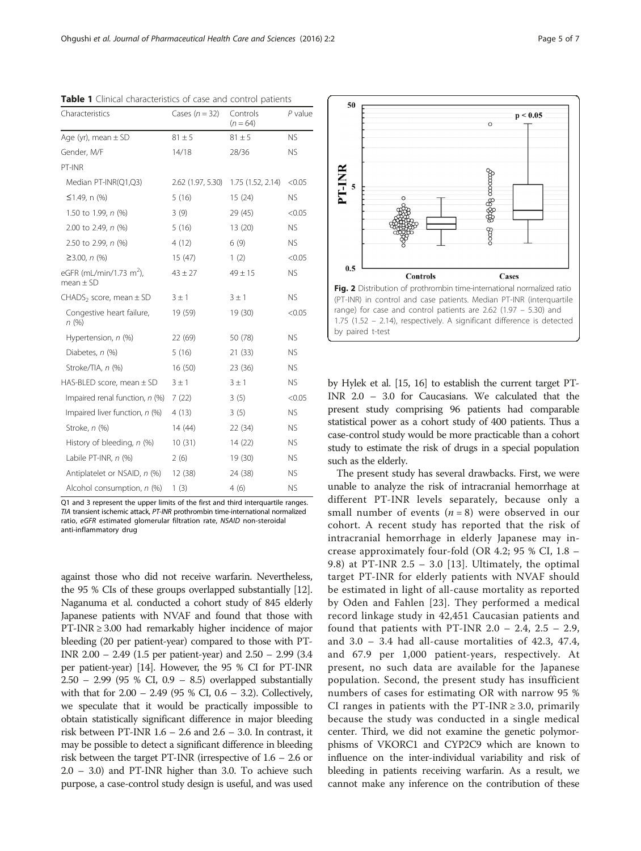| Characteristics                                      | Cases $(n = 32)$  | Controls<br>$(n = 64)$ | $P$ value |
|------------------------------------------------------|-------------------|------------------------|-----------|
| Age (yr), mean $\pm$ SD                              | $81 \pm 5$        | $81 \pm 5$             | <b>NS</b> |
| Gender, M/F                                          | 14/18             | 28/36                  | <b>NS</b> |
| PT-INR                                               |                   |                        |           |
| Median PT-INR(Q1,Q3)                                 | 2.62 (1.97, 5.30) | 1.75(1.52, 2.14)       | < 0.05    |
| $≤1.49$ , n (%)                                      | 5(16)             | 15(24)                 | NS.       |
| 1.50 to 1.99, n (%)                                  | 3(9)              | 29 (45)                | < 0.05    |
| 2.00 to 2.49, n (%)                                  | 5(16)             | 13(20)                 | <b>NS</b> |
| 2.50 to 2.99, n (%)                                  | 4(12)             | 6(9)                   | NS.       |
| $≥3.00, n$ (%)                                       | 15(47)            | 1(2)                   | < 0.05    |
| eGFR (mL/min/1.73 m <sup>2</sup> ),<br>mean $\pm$ SD | $43 \pm 27$       | $49 \pm 15$            | <b>NS</b> |
| $CHADS2 score, mean \pm SD$                          | $3 \pm 1$         | $3 \pm 1$              | NS.       |
| Congestive heart failure,<br>n(%)                    | 19 (59)           | 19 (30)                | < 0.05    |
| Hypertension, n (%)                                  | 22 (69)           | 50 (78)                | <b>NS</b> |
| Diabetes, n (%)                                      | 5(16)             | 21(33)                 | <b>NS</b> |
| Stroke/TIA, n (%)                                    | 16(50)            | 23(36)                 | NS.       |
| HAS-BLED score, mean $\pm$ SD                        | $3 \pm 1$         | $3 \pm 1$              | <b>NS</b> |
| Impaired renal function, n (%)                       | 7(22)             | 3(5)                   | < 0.05    |
| Impaired liver function, n (%)                       | 4(13)             | 3(5)                   | <b>NS</b> |
| Stroke, n (%)                                        | 14 (44)           | 22(34)                 | NS.       |
| History of bleeding, n (%)                           | 10(31)            | 14(22)                 | <b>NS</b> |
| Labile PT-INR, n (%)                                 | 2(6)              | 19 (30)                | <b>NS</b> |
| Antiplatelet or NSAID, n (%)                         | 12(38)            | 24 (38)                | <b>NS</b> |
| Alcohol consumption, n (%)                           | 1(3)              | 4(6)                   | <b>NS</b> |

<span id="page-4-0"></span>Table 1 Clinical characteristics of case and control patients

Q1 and 3 represent the upper limits of the first and third interquartile ranges. TIA transient ischemic attack, PT-INR prothrombin time-international normalized ratio, eGFR estimated glomerular filtration rate, NSAID non-steroidal anti-inflammatory drug

against those who did not receive warfarin. Nevertheless, the 95 % CIs of these groups overlapped substantially [\[12](#page-5-0)]. Naganuma et al. conducted a cohort study of 845 elderly Japanese patients with NVAF and found that those with PT-INR ≥ 3.00 had remarkably higher incidence of major bleeding (20 per patient-year) compared to those with PT-INR 2.00 – 2.49 (1.5 per patient-year) and 2.50 – 2.99 (3.4 per patient-year) [\[14\]](#page-6-0). However, the 95 % CI for PT-INR 2.50 – 2.99 (95 % CI, 0.9 – 8.5) overlapped substantially with that for 2.00 – 2.49 (95 % CI, 0.6 – 3.2). Collectively, we speculate that it would be practically impossible to obtain statistically significant difference in major bleeding risk between PT-INR 1.6 – 2.6 and 2.6 – 3.0. In contrast, it may be possible to detect a significant difference in bleeding risk between the target PT-INR (irrespective of 1.6 – 2.6 or 2.0 – 3.0) and PT-INR higher than 3.0. To achieve such purpose, a case-control study design is useful, and was used



by Hylek et al. [\[15](#page-6-0), [16](#page-6-0)] to establish the current target PT-INR 2.0 – 3.0 for Caucasians. We calculated that the present study comprising 96 patients had comparable statistical power as a cohort study of 400 patients. Thus a case-control study would be more practicable than a cohort study to estimate the risk of drugs in a special population such as the elderly.

The present study has several drawbacks. First, we were unable to analyze the risk of intracranial hemorrhage at different PT-INR levels separately, because only a small number of events  $(n = 8)$  were observed in our cohort. A recent study has reported that the risk of intracranial hemorrhage in elderly Japanese may increase approximately four-fold (OR 4.2; 95 % CI, 1.8 – 9.8) at PT-INR 2.5 - 3.0 [[13](#page-5-0)]. Ultimately, the optimal target PT-INR for elderly patients with NVAF should be estimated in light of all-cause mortality as reported by Oden and Fahlen [\[23](#page-6-0)]. They performed a medical record linkage study in 42,451 Caucasian patients and found that patients with PT-INR  $2.0 - 2.4$ ,  $2.5 - 2.9$ , and  $3.0 - 3.4$  had all-cause mortalities of  $42.3, 47.4$ , and 67.9 per 1,000 patient-years, respectively. At present, no such data are available for the Japanese population. Second, the present study has insufficient numbers of cases for estimating OR with narrow 95 % CI ranges in patients with the PT-INR  $\geq 3.0$ , primarily because the study was conducted in a single medical center. Third, we did not examine the genetic polymorphisms of VKORC1 and CYP2C9 which are known to influence on the inter-individual variability and risk of bleeding in patients receiving warfarin. As a result, we cannot make any inference on the contribution of these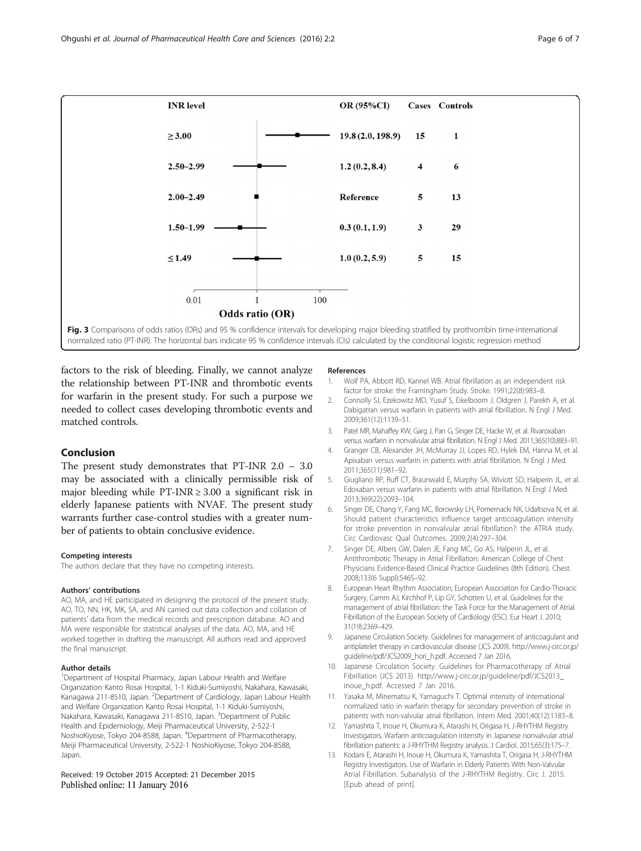<span id="page-5-0"></span>

factors to the risk of bleeding. Finally, we cannot analyze the relationship between PT-INR and thrombotic events for warfarin in the present study. For such a purpose we needed to collect cases developing thrombotic events and matched controls.

#### Conclusion

The present study demonstrates that PT-INR 2.0 – 3.0 may be associated with a clinically permissible risk of major bleeding while PT-INR  $\geq 3.00$  a significant risk in elderly Japanese patients with NVAF. The present study warrants further case-control studies with a greater number of patients to obtain conclusive evidence.

#### Competing interests

The authors declare that they have no competing interests.

#### Authors' contributions

AO, MA, and HE participated in designing the protocol of the present study. AO, TO, NN, HK, MK, SA, and AN carried out data collection and collation of patients' data from the medical records and prescription database. AO and MA were responsible for statistical analyses of the data. AO, MA, and HE worked together in drafting the manuscript. All authors read and approved the final manuscript.

#### Author details

<sup>1</sup>Department of Hospital Pharmacy, Japan Labour Health and Welfare Organization Kanto Rosai Hospital, 1-1 Kiduki-Sumiyoshi, Nakahara, Kawasaki, Kanagawa 211-8510, Japan. <sup>2</sup>Department of Cardiology, Japan Labour Health and Welfare Organization Kanto Rosai Hospital, 1-1 Kiduki-Sumiyoshi, Nakahara, Kawasaki, Kanagawa 211-8510, Japan. <sup>3</sup>Department of Public Health and Epidemiology, Meiji Pharmaceutical University, 2-522-1 NoshioKiyose, Tokyo 204-8588, Japan. <sup>4</sup> Department of Pharmacotherapy, Meiji Pharmaceutical University, 2-522-1 NoshioKiyose, Tokyo 204-8588, Japan.

#### Received: 19 October 2015 Accepted: 21 December 2015 Published online: 11 January 2016

#### References

- 1. Wolf PA, Abbott RD, Kannel WB. Atrial fibrillation as an independent risk factor for stroke: the Framingham Study. Stroke. 1991;22(8):983–8.
- 2. Connolly SJ, Ezekowitz MD, Yusuf S, Eikelboom J, Oldgren J, Parekh A, et al. Dabigatran versus warfarin in patients with atrial fibrillation. N Engl J Med. 2009;361(12):1139–51.
- 3. Patel MR, Mahaffey KW, Garg J, Pan G, Singer DE, Hacke W, et al. Rivaroxaban versus warfarin in nonvalvular atrial fibrillation. N Engl J Med. 2011;365(10):883–91.
- 4. Granger CB, Alexander JH, McMurray JJ, Lopes RD, Hylek EM, Hanna M, et al. Apixaban versus warfarin in patients with atrial fibrillation. N Engl J Med. 2011;365(11):981–92.
- 5. Giugliano RP, Ruff CT, Braunwald E, Murphy SA, Wiviott SD, Halperin JL, et al. Edoxaban versus warfarin in patients with atrial fibrillation. N Engl J Med. 2013;369(22):2093–104.
- 6. Singer DE, Chang Y, Fang MC, Borowsky LH, Pomernacki NK, Udaltsova N, et al. Should patient characteristics influence target anticoagulation intensity for stroke prevention in nonvalvular atrial fibrillation?: the ATRIA study. Circ Cardiovasc Qual Outcomes. 2009;2(4):297–304.
- 7. Singer DE, Albers GW, Dalen JE, Fang MC, Go AS, Halperin JL, et al. Antithrombotic Therapy in Atrial Fibrillation: American College of Chest Physicians Evidence-Based Clinical Practice Guidelines (8th Edition). Chest. 2008;133(6 Suppl):546S–92.
- 8. European Heart Rhythm Association; European Association for Cardio-Thoracic Surgery, Camm AJ, Kirchhof P, Lip GY, Schotten U, et al. Guidelines for the management of atrial fibrillation: the Task Force for the Management of Atrial Fibrillation of the European Society of Cardiology (ESC). Eur Heart J. 2010; 31(19):2369–429.
- 9. Japanese Circulation Society. Guidelines for management of anticoagulant and antiplatelet therapy in cardiovascular disease (JCS 2009). [http://www.j-circ.or.jp/](http://www.j-circ.or.jp/guideline/pdf/JCS2009_hori_h.pdf) [guideline/pdf/JCS2009\\_hori\\_h.pdf.](http://www.j-circ.or.jp/guideline/pdf/JCS2009_hori_h.pdf) Accessed 7 Jan 2016.
- 10. Japanese Circulation Society. Guidelines for Pharmacotherapy of Atrial Fibrillation (JCS 2013). [http://www.j-circ.or.jp/guideline/pdf/JCS2013\\_](http://www.j-circ.or.jp/guideline/pdf/JCS2013_inoue_h.pdf) [inoue\\_h.pdf](http://www.j-circ.or.jp/guideline/pdf/JCS2013_inoue_h.pdf). Accessed 7 Jan 2016.
- 11. Yasaka M, Minematsu K, Yamaguchi T. Optimal intensity of international normalized ratio in warfarin therapy for secondary prevention of stroke in patients with non-valvular atrial fibrillation. Intern Med. 2001;40(12):1183–8.
- 12. Yamashita T, Inoue H, Okumura K, Atarashi H, Origasa H, J-RHYTHM Registry Investigators. Warfarin anticoagulation intensity in Japanese nonvalvular atrial fibrillation patients: a J-RHYTHM Registry analysis. J Cardiol. 2015;65(3):175–7.
- 13. Kodani E, Atarashi H, Inoue H, Okumura K, Yamashita T, Origasa H, J-RHYTHM Registry Investigators. Use of Warfarin in Elderly Patients With Non-Valvular Atrial Fibrillation. Subanalysis of the J-RHYTHM Registry. Circ J. 2015. [Epub ahead of print].